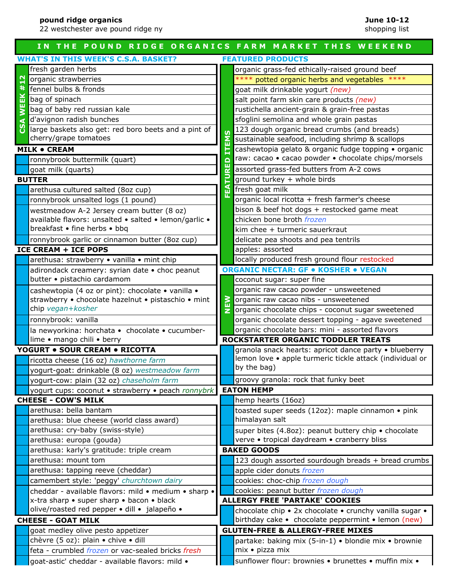22 westchester ave pound ridge ny

#### **IN THE POUND RIDGE ORGANICS FARM MARKET THIS WEEKEND WHAT'S IN THIS WEEK'S C.S.A. BASKET? FEATURED PRODUCTS** fresh garden herbs **or all states of the set of the set of the set of the set of the set of the set of the set o CSA WEEK #12** organic strawberries **the strawberries** the strawberries the strawber of the strawber or the strawber of the stra  $#1$ fennel bulbs & fronds goat milk drinkable yogurt *(new)* WEEK bag of spinach salt point farm skin care products *(new)* bag of baby red russian kale rustichella ancient-grain & grain-free pastas d'avignon radish bunches sfoglini semolina and whole grain pastas large baskets also get: red boro beets and a pint of 123 dough organic bread crumbs (and breads)  $\overline{a}$ **NEW FEATURED ITEMS** cherry/grape tomatoes sustainable seafood, including shrimp & scallops 蒕 **MILK • CREAM** cashewtopia gelato & organic fudge topping • organic 톱 raw: cacao • cacao powder • chocolate chips/morsels ronnybrook buttermilk (quart) ronnybrook buttermilk (quart)<br>goat milk (quarts)<br>**TTER**<br>arethusa cultured salted (8oz cup)<br>assorted grass-fed butters from A-2 cows<br>fresh goat milk **BUTTER ground turkey + whole birds** arethusa cultured salted (8oz cup)  $\frac{1}{2}$  fresh goat milk ronnybrook unsalted logs (1 pound)  $\begin{bmatrix} 1 \end{bmatrix}$  organic local ricotta + fresh farmer's cheese bison & beef hot dogs + restocked game meat westmeadow A-2 Jersey cream butter (8 oz) chicken bone broth *frozen* available flavors: unsalted • salted • lemon/garlic • breakfast • fine herbs • bbq kim chee + turmeric sauerkraut ronnybrook garlic or cinnamon butter (8oz cup)  $\|\cdot\|$  delicate pea shoots and pea tentrils **ICE CREAM + ICE POPS** apples: assorted arethusa: strawberry • vanilla • mint chip locally produced fresh ground flour restocked **ORGANIC NECTAR: GF • KOSHER • VEGAN** adirondack creamery: syrian date • choc peanut butter • pistachio cardamom coconut sugar: super fine cashewtopia (4 oz or pint): chocolate • vanilla • organic raw cacao powder - unsweetened  $\geq$ strawberry • chocolate hazelnut • pistaschio • mint organic raw cacao nibs - unsweetened chip *vegan+kosher*organic chocolate chips - coconut sugar sweetened z ronnybrook: vanilla and organic chocolate dessert topping - agave sweetened la newyorkina: horchata • chocolate • cucumberorganic chocolate bars: mini - assorted flavors lime • mango chili • berry **ROCKSTARTER ORGANIC TODDLER TREATS YOGURT • SOUR CREAM • RICOTTA** granola snack hearts: apricot dance party • blueberry lemon love • apple turmeric tickle attack (individual or ricotta cheese (16 oz) *hawthorne farm* by the bag) yogurt-goat: drinkable (8 oz) *westmeadow farm* yogurt-cow: plain (32 oz) *chaseholm farm* groovy granola: rock that funky beet yogurt cups: coconut • strawberry • peach *ronnybrk* **EATON HEMP CHEESE - COW'S MILK** hemp hearts (16oz) toasted super seeds (12oz): maple cinnamon • pink arethusa: bella bantam himalayan salt arethusa: blue cheese (world class award) arethusa: cry-baby (swiss-style) super bites (4.8oz): peanut buttery chip • chocolate arethusa: europa (gouda) verve • tropical daydream • cranberry bliss arethusa: karly's gratitude: triple cream **BAKED GOODS** arethusa: mount tom 123 dough assorted sourdough breads + bread crumbs arethusa: tapping reeve (cheddar) **a a** apple cider donuts *frozen* camembert style: 'peggy' *churchtown dairy* cookies: choc-chip *frozen dough* cheddar - available flavors: mild • medium • sharp • cookies: peanut butter *frozen dough* x-tra sharp • super sharp • bacon • black **ALLERGY FREE 'PARTAKE' COOKIES** olive/roasted red pepper • dill • jalapeño • chocolate chip • 2x chocolate • crunchy vanilla sugar • **CHEESE - GOAT MILK** birthday cake • chocolate peppermint • lemon (new) goat medley olive pesto appetizer **GLUTEN-FREE & ALLERGY-FREE MIXES** chèvre (5 oz): plain • chive • dill partake: baking mix (5-in-1) • blondie mix • brownie mix • pizza mix feta - crumbled *frozen* or vac-sealed bricks *fresh* sunflower flour: brownies • brunettes • muffin mix • goat-astic' cheddar - available flavors: mild •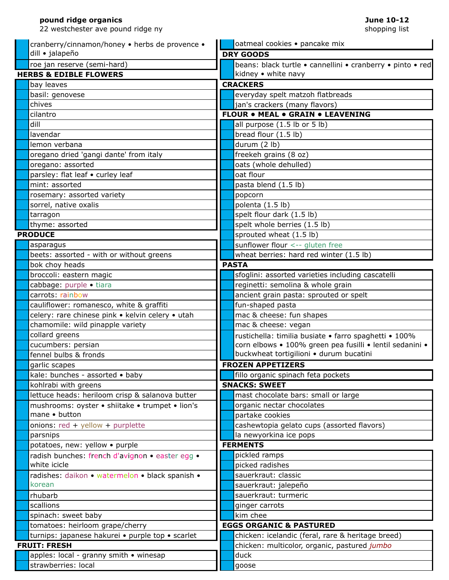22 westchester ave pound ridge ny goat-asticle-asticle-asticle-asticle-asticle-asticle-asticle-asticle-asticle-asticle-asticle-asticle-asticle-a

sunflower flower flower flower flower flower flower flower flower flower flower flower flower flower flower flower flower flower flower flower flowers  $\sim$  100  $\mu$  mix  $\sim$  100  $\mu$  mix  $\sim$  100  $\mu$  mix  $\sim$  100  $\mu$  mix

| cranberry/cinnamon/honey • herbs de provence •   |  | oatmeal cookies · pancake mix                              |  |
|--------------------------------------------------|--|------------------------------------------------------------|--|
| dill · jalapeño                                  |  | <b>DRY GOODS</b>                                           |  |
| roe jan reserve (semi-hard)                      |  | beans: black turtle · cannellini · cranberry · pinto · red |  |
| <b>HERBS &amp; EDIBLE FLOWERS</b>                |  | kidney • white navy                                        |  |
| bay leaves                                       |  | <b>CRACKERS</b>                                            |  |
| basil: genovese                                  |  | everyday spelt matzoh flatbreads                           |  |
| chives                                           |  | jan's crackers (many flavors)                              |  |
| cilantro                                         |  | <b>FLOUR . MEAL . GRAIN . LEAVENING</b>                    |  |
| dill                                             |  | all purpose (1.5 lb or 5 lb)                               |  |
| lavendar                                         |  | bread flour (1.5 lb)                                       |  |
| lemon verbana                                    |  | durum (2 lb)                                               |  |
| oregano dried 'gangi dante' from italy           |  | freekeh grains (8 oz)                                      |  |
| oregano: assorted                                |  | oats (whole dehulled)                                      |  |
| parsley: flat leaf . curley leaf                 |  | oat flour                                                  |  |
| mint: assorted                                   |  | pasta blend (1.5 lb)                                       |  |
| rosemary: assorted variety                       |  | popcorn                                                    |  |
| sorrel, native oxalis                            |  | polenta (1.5 lb)                                           |  |
| tarragon                                         |  | spelt flour dark (1.5 lb)                                  |  |
| thyme: assorted                                  |  | spelt whole berries (1.5 lb)                               |  |
| <b>PRODUCE</b>                                   |  | sprouted wheat (1.5 lb)                                    |  |
| asparagus                                        |  | sunflower flour <-- gluten free                            |  |
| beets: assorted - with or without greens         |  | wheat berries: hard red winter (1.5 lb)                    |  |
| bok choy heads                                   |  | <b>PASTA</b>                                               |  |
| broccoli: eastern magic                          |  | sfoglini: assorted varieties including cascatelli          |  |
| cabbage: purple · tiara                          |  | reginetti: semolina & whole grain                          |  |
| carrots: rainbow                                 |  | ancient grain pasta: sprouted or spelt                     |  |
| cauliflower: romanesco, white & graffiti         |  | fun-shaped pasta                                           |  |
| celery: rare chinese pink . kelvin celery . utah |  | mac & cheese: fun shapes                                   |  |
| chamomile: wild pinapple variety                 |  | mac & cheese: vegan                                        |  |
| collard greens                                   |  | rustichella: timilia busiate · farro spaghetti · 100%      |  |
| cucumbers: persian                               |  | corn elbows · 100% green pea fusilli · lentil sedanini ·   |  |
| fennel bulbs & fronds                            |  | buckwheat tortigilioni · durum bucatini                    |  |
| garlic scapes                                    |  | <b>FROZEN APPETIZERS</b>                                   |  |
| kale: bunches - assorted . baby                  |  | fillo organic spinach feta pockets                         |  |
| kohlrabi with greens                             |  | <b>SNACKS: SWEET</b>                                       |  |
| lettuce heads: heriloom crisp & salanova butter  |  | mast chocolate bars: small or large                        |  |
| mushrooms: oyster · shiitake · trumpet · lion's  |  | organic nectar chocolates                                  |  |
| mane · button                                    |  | partake cookies                                            |  |
| onions: $red + yellow + purple$ tte              |  | cashewtopia gelato cups (assorted flavors)                 |  |
| parsnips                                         |  | la newyorkina ice pops                                     |  |
| potatoes, new: yellow • purple                   |  | <b>FERMENTS</b>                                            |  |
| radish bunches: french d'avignon · easter egg ·  |  | pickled ramps                                              |  |
| white icicle                                     |  | picked radishes                                            |  |
| radishes: daikon · watermelon · black spanish ·  |  | sauerkraut: classic                                        |  |
| korean                                           |  | sauerkraut: jalepeño                                       |  |
| rhubarb                                          |  | sauerkraut: turmeric                                       |  |
| scallions                                        |  | ginger carrots                                             |  |
| spinach: sweet baby                              |  | kim chee                                                   |  |
| tomatoes: heirloom grape/cherry                  |  | <b>EGGS ORGANIC &amp; PASTURED</b>                         |  |
| turnips: japanese hakurei · purple top · scarlet |  | chicken: icelandic (feral, rare & heritage breed)          |  |
| <b>FRUIT: FRESH</b>                              |  | chicken: multicolor, organic, pastured jumbo               |  |
| apples: local - granny smith . winesap           |  | duck                                                       |  |
| strawberries: local                              |  | goose                                                      |  |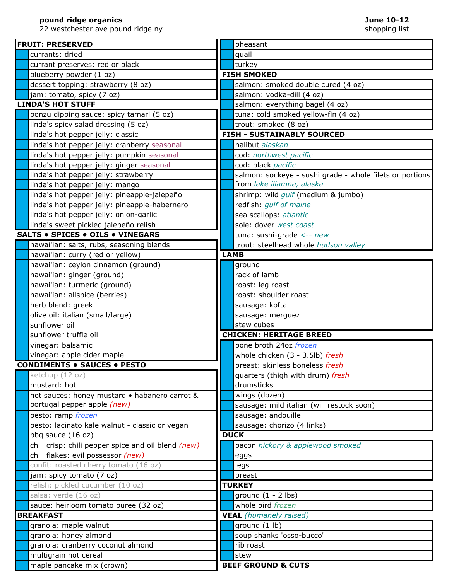22 westchester ave pound ridge ny

| <b>FRUIT: PRESERVED</b>                                          | pheasant                                                           |  |
|------------------------------------------------------------------|--------------------------------------------------------------------|--|
| currants: dried                                                  | quail                                                              |  |
| currant preserves: red or black                                  | turkey                                                             |  |
| blueberry powder (1 oz)                                          | <b>FISH SMOKED</b>                                                 |  |
| dessert topping: strawberry (8 oz)                               | salmon: smoked double cured (4 oz)                                 |  |
| jam: tomato, spicy (7 oz)                                        | salmon: vodka-dill (4 oz)                                          |  |
| <b>LINDA'S HOT STUFF</b>                                         | salmon: everything bagel (4 oz)                                    |  |
| ponzu dipping sauce: spicy tamari (5 oz)                         | tuna: cold smoked yellow-fin (4 oz)                                |  |
| linda's spicy salad dressing (5 oz)                              | trout: smoked (8 oz)                                               |  |
| linda's hot pepper jelly: classic                                | <b>FISH - SUSTAINABLY SOURCED</b>                                  |  |
| linda's hot pepper jelly: cranberry seasonal                     | halibut alaskan                                                    |  |
| linda's hot pepper jelly: pumpkin seasonal                       | cod: northwest pacific                                             |  |
| linda's hot pepper jelly: ginger seasonal                        | cod: black pacific                                                 |  |
| linda's hot pepper jelly: strawberry                             | salmon: sockeye - sushi grade - whole filets or portions           |  |
| linda's hot pepper jelly: mango                                  | from lake iliamna, alaska                                          |  |
| linda's hot pepper jelly: pineapple-jalepeño                     | shrimp: wild gulf (medium & jumbo)                                 |  |
| linda's hot pepper jelly: pineapple-habernero                    | redfish: gulf of maine                                             |  |
| linda's hot pepper jelly: onion-garlic                           | sea scallops: atlantic                                             |  |
| linda's sweet pickled jalepeño relish                            | sole: dover west coast                                             |  |
| <b>SALTS . SPICES . OILS . VINEGARS</b>                          | tuna: sushi-grade <-- new                                          |  |
| hawai'ian: salts, rubs, seasoning blends                         | trout: steelhead whole hudson valley                               |  |
| hawai'ian: curry (red or yellow)                                 | <b>LAMB</b>                                                        |  |
| hawai'ian: ceylon cinnamon (ground)                              | ground                                                             |  |
| hawai'ian: ginger (ground)                                       | rack of lamb                                                       |  |
| hawai'ian: turmeric (ground)                                     | roast: leg roast                                                   |  |
| hawai'ian: allspice (berries)                                    | roast: shoulder roast                                              |  |
| herb blend: greek                                                | sausage: kofta                                                     |  |
| olive oil: italian (small/large)                                 | sausage: merguez                                                   |  |
| sunflower oil                                                    | stew cubes                                                         |  |
| sunflower truffle oil                                            | <b>CHICKEN: HERITAGE BREED</b>                                     |  |
| vinegar: balsamic                                                | bone broth 24oz frozen                                             |  |
| vinegar: apple cider maple<br><b>CONDIMENTS . SAUCES . PESTO</b> | whole chicken (3 - 3.5lb) fresh<br>breast: skinless boneless fresh |  |
| ketchup (12 oz)                                                  |                                                                    |  |
| mustard: hot                                                     | quarters (thigh with drum) fresh<br>drumsticks                     |  |
| hot sauces: honey mustard . habanero carrot &                    | wings (dozen)                                                      |  |
| portugal pepper apple (new)                                      | sausage: mild italian (will restock soon)                          |  |
| pesto: ramp frozen                                               | sausage: andouille                                                 |  |
| pesto: lacinato kale walnut - classic or vegan                   | sausage: chorizo (4 links)                                         |  |
| bbq sauce (16 oz)                                                | <b>DUCK</b>                                                        |  |
| chili crisp: chili pepper spice and oil blend (new)              | bacon hickory & applewood smoked                                   |  |
| chili flakes: evil possessor (new)                               | eggs                                                               |  |
| confit: roasted cherry tomato (16 oz)                            | legs                                                               |  |
| jam: spicy tomato (7 oz)                                         | breast                                                             |  |
| relish: pickled cucumber (10 oz)                                 | <b>TURKEY</b>                                                      |  |
| salsa: verde (16 oz)                                             | ground $(1 - 2$ lbs)                                               |  |
| sauce: heirloom tomato puree (32 oz)                             | whole bird frozen                                                  |  |
| <b>BREAKFAST</b>                                                 | <b>VEAL</b> (humanely raised)                                      |  |
| granola: maple walnut                                            | ground (1 lb)                                                      |  |
| granola: honey almond                                            | soup shanks 'osso-bucco'                                           |  |
| granola: cranberry coconut almond                                | rib roast                                                          |  |
| multigrain hot cereal                                            | stew                                                               |  |
| maple pancake mix (crown)                                        | <b>BEEF GROUND &amp; CUTS</b>                                      |  |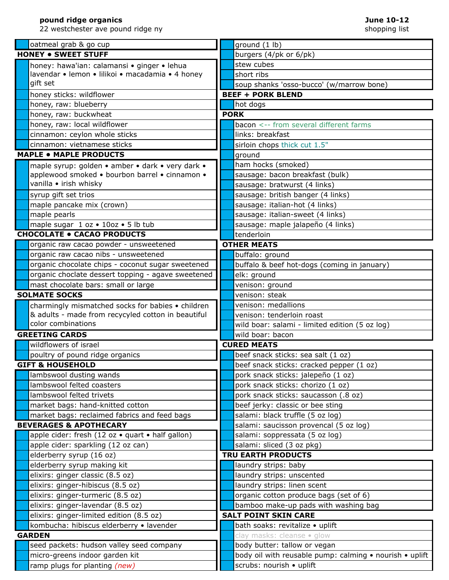22 westchester ave pound ridge ny

| oatmeal grab & go cup                              | ground (1 lb)                                           |
|----------------------------------------------------|---------------------------------------------------------|
| <b>HONEY . SWEET STUFF</b>                         | burgers (4/pk or 6/pk)                                  |
| honey: hawa'ian: calamansi · ginger · lehua        | stew cubes                                              |
| lavendar • lemon • lilikoi • macadamia • 4 honey   | short ribs                                              |
| gift set                                           | soup shanks 'osso-bucco' (w/marrow bone)                |
| honey sticks: wildflower                           | <b>BEEF + PORK BLEND</b>                                |
| honey, raw: blueberry                              | hot dogs                                                |
| honey, raw: buckwheat                              | <b>PORK</b>                                             |
| honey, raw: local wildflower                       | bacon <-- from several different farms                  |
| cinnamon: ceylon whole sticks                      | links: breakfast                                        |
| cinnamon: vietnamese sticks                        | sirloin chops thick cut 1.5"                            |
| <b>MAPLE . MAPLE PRODUCTS</b>                      | ground                                                  |
| maple syrup: golden • amber • dark • very dark •   | ham hocks (smoked)                                      |
| applewood smoked . bourbon barrel . cinnamon .     | sausage: bacon breakfast (bulk)                         |
| vanilla • irish whisky                             | sausage: bratwurst (4 links)                            |
| syrup gift set trios                               | sausage: british banger (4 links)                       |
| maple pancake mix (crown)                          | sausage: italian-hot (4 links)                          |
| maple pearls                                       | sausage: italian-sweet (4 links)                        |
| maple sugar 1 oz . 10oz . 5 lb tub                 | sausage: maple jalapeño (4 links)                       |
| <b>CHOCOLATE . CACAO PRODUCTS</b>                  | tenderloin                                              |
| organic raw cacao powder - unsweetened             | <b>OTHER MEATS</b>                                      |
| organic raw cacao nibs - unsweetened               | buffalo: ground                                         |
| organic chocolate chips - coconut sugar sweetened  | buffalo & beef hot-dogs (coming in january)             |
| organic choclate dessert topping - agave sweetened | elk: ground                                             |
| mast chocolate bars: small or large                | venison: ground                                         |
| <b>SOLMATE SOCKS</b>                               | venison: steak                                          |
| charmingly mismatched socks for babies • children  | venison: medallions                                     |
| & adults - made from recycyled cotton in beautiful | venison: tenderloin roast                               |
| color combinations                                 | wild boar: salami - limited edition (5 oz log)          |
| <b>GREETING CARDS</b>                              | wild boar: bacon                                        |
| wildflowers of israel                              | <b>CURED MEATS</b>                                      |
| poultry of pound ridge organics                    | beef snack sticks: sea salt (1 oz)                      |
| <b>GIFT &amp; HOUSEHOLD</b>                        | beef snack sticks: cracked pepper (1 oz)                |
| lambswool dusting wands                            | pork snack sticks: jalepeño (1 oz)                      |
| lambswool felted coasters                          | pork snack sticks: chorizo (1 oz)                       |
| lambswool felted trivets                           | pork snack sticks: saucasson (.8 oz)                    |
| market bags: hand-knitted cotton                   | beef jerky: classic or bee sting                        |
| market bags: reclaimed fabrics and feed bags       | salami: black truffle (5 oz log)                        |
| <b>BEVERAGES &amp; APOTHECARY</b>                  | salami: saucisson provencal (5 oz log)                  |
| apple cider: fresh (12 oz · quart · half gallon)   | salami: soppressata (5 oz log)                          |
| apple cider: sparkling (12 oz can)                 | salami: sliced (3 oz pkg)                               |
| elderberry syrup (16 oz)                           | <b>TRU EARTH PRODUCTS</b>                               |
| elderberry syrup making kit                        | laundry strips: baby                                    |
| elixirs: ginger classic (8.5 oz)                   | laundry strips: unscented                               |
| elixirs: ginger-hibiscus (8.5 oz)                  | laundry strips: linen scent                             |
| elixirs: ginger-turmeric (8.5 oz)                  | organic cotton produce bags (set of 6)                  |
| elixirs: ginger-lavendar (8.5 oz)                  | bamboo make-up pads with washing bag                    |
| elixirs: ginger-limited edition (8.5 oz)           | <b>SALT POINT SKIN CARE</b>                             |
| kombucha: hibiscus elderberry · lavender           | bath soaks: revitalize · uplift                         |
| <b>GARDEN</b>                                      | clay masks: cleanse . glow                              |
| seed packets: hudson valley seed company           | body butter: tallow or vegan                            |
| micro-greens indoor garden kit                     | body oil with reusable pump: calming • nourish • uplift |
| ramp plugs for planting (new)                      | scrubs: nourish • uplift                                |